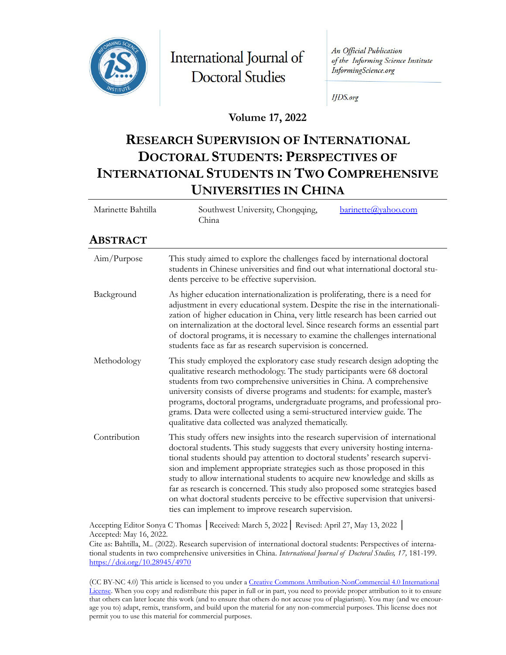

International Journal of **Doctoral Studies** 

An Official Publication of the Informing Science Institute InformingScience.org

**IJDS.org** 

**Volume 17, 2022**

# **RESEARCH SUPERVISION OF INTERNATIONAL DOCTORAL STUDENTS: PERSPECTIVES OF INTERNATIONAL STUDENTS IN TWO COMPREHENSIVE UNIVERSITIES IN CHINA**

| Marinette Bahtilla | Southwest University, Chongqing,<br>barinette@yahoo.com<br>China                                                                                                                                                                                                                                                                                                                                                                                                                                                                                                                                                                   |
|--------------------|------------------------------------------------------------------------------------------------------------------------------------------------------------------------------------------------------------------------------------------------------------------------------------------------------------------------------------------------------------------------------------------------------------------------------------------------------------------------------------------------------------------------------------------------------------------------------------------------------------------------------------|
| Abstract           |                                                                                                                                                                                                                                                                                                                                                                                                                                                                                                                                                                                                                                    |
| Aim/Purpose        | This study aimed to explore the challenges faced by international doctoral<br>students in Chinese universities and find out what international doctoral stu-<br>dents perceive to be effective supervision.                                                                                                                                                                                                                                                                                                                                                                                                                        |
| Background         | As higher education internationalization is proliferating, there is a need for<br>adjustment in every educational system. Despite the rise in the internationali-<br>zation of higher education in China, very little research has been carried out<br>on internalization at the doctoral level. Since research forms an essential part<br>of doctoral programs, it is necessary to examine the challenges international<br>students face as far as research supervision is concerned.                                                                                                                                             |
| Methodology        | This study employed the exploratory case study research design adopting the<br>qualitative research methodology. The study participants were 68 doctoral<br>students from two comprehensive universities in China. A comprehensive<br>university consists of diverse programs and students: for example, master's<br>programs, doctoral programs, undergraduate programs, and professional pro-<br>grams. Data were collected using a semi-structured interview guide. The<br>qualitative data collected was analyzed thematically.                                                                                                |
| Contribution       | This study offers new insights into the research supervision of international<br>doctoral students. This study suggests that every university hosting interna-<br>tional students should pay attention to doctoral students' research supervi-<br>sion and implement appropriate strategies such as those proposed in this<br>study to allow international students to acquire new knowledge and skills as<br>far as research is concerned. This study also proposed some strategies based<br>on what doctoral students perceive to be effective supervision that universi-<br>ties can implement to improve research supervision. |

Accepting Editor Sonya C Thomas │Received: March 5, 2022│ Revised: April 27, May 13, 2022 │ Accepted: May 16, 2022.

Cite as: Bahtilla, M.. (2022). Research supervision of international doctoral students: Perspectives of international students in two comprehensive universities in China. *International Journal of Doctoral Studies, 17,* 181-199. <https://doi.org/10.28945/4970>

(CC BY-NC 4.0) This article is licensed to you under [a Creative Commons Attribution-NonCommercial 4.0 International](https://creativecommons.org/licenses/by-nc/4.0/)  [License](https://creativecommons.org/licenses/by-nc/4.0/). When you copy and redistribute this paper in full or in part, you need to provide proper attribution to it to ensure that others can later locate this work (and to ensure that others do not accuse you of plagiarism). You may (and we encourage you to) adapt, remix, transform, and build upon the material for any non-commercial purposes. This license does not permit you to use this material for commercial purposes.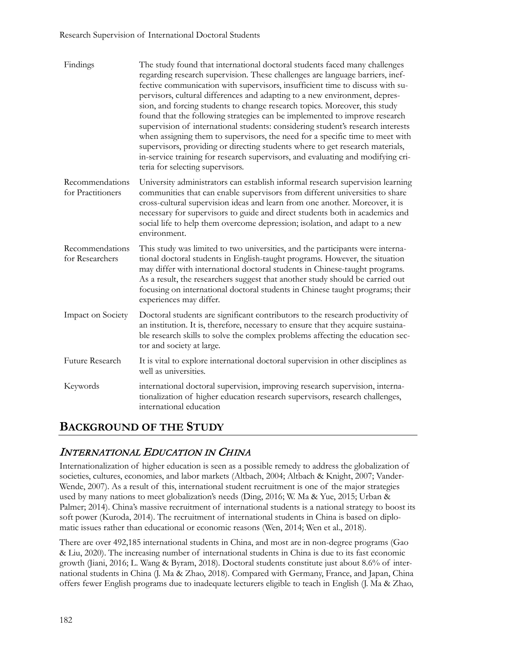| Findings                             | The study found that international doctoral students faced many challenges<br>regarding research supervision. These challenges are language barriers, inef-<br>fective communication with supervisors, insufficient time to discuss with su-<br>pervisors, cultural differences and adapting to a new environment, depres-<br>sion, and forcing students to change research topics. Moreover, this study<br>found that the following strategies can be implemented to improve research<br>supervision of international students: considering student's research interests<br>when assigning them to supervisors, the need for a specific time to meet with<br>supervisors, providing or directing students where to get research materials,<br>in-service training for research supervisors, and evaluating and modifying cri-<br>teria for selecting supervisors. |
|--------------------------------------|--------------------------------------------------------------------------------------------------------------------------------------------------------------------------------------------------------------------------------------------------------------------------------------------------------------------------------------------------------------------------------------------------------------------------------------------------------------------------------------------------------------------------------------------------------------------------------------------------------------------------------------------------------------------------------------------------------------------------------------------------------------------------------------------------------------------------------------------------------------------|
| Recommendations<br>for Practitioners | University administrators can establish informal research supervision learning<br>communities that can enable supervisors from different universities to share<br>cross-cultural supervision ideas and learn from one another. Moreover, it is<br>necessary for supervisors to guide and direct students both in academics and<br>social life to help them overcome depression; isolation, and adapt to a new<br>environment.                                                                                                                                                                                                                                                                                                                                                                                                                                      |
| Recommendations<br>for Researchers   | This study was limited to two universities, and the participants were interna-<br>tional doctoral students in English-taught programs. However, the situation<br>may differ with international doctoral students in Chinese-taught programs.<br>As a result, the researchers suggest that another study should be carried out<br>focusing on international doctoral students in Chinese taught programs; their<br>experiences may differ.                                                                                                                                                                                                                                                                                                                                                                                                                          |
| Impact on Society                    | Doctoral students are significant contributors to the research productivity of<br>an institution. It is, therefore, necessary to ensure that they acquire sustaina-<br>ble research skills to solve the complex problems affecting the education sec-<br>tor and society at large.                                                                                                                                                                                                                                                                                                                                                                                                                                                                                                                                                                                 |
| Future Research                      | It is vital to explore international doctoral supervision in other disciplines as<br>well as universities.                                                                                                                                                                                                                                                                                                                                                                                                                                                                                                                                                                                                                                                                                                                                                         |
| Keywords                             | international doctoral supervision, improving research supervision, interna-<br>tionalization of higher education research supervisors, research challenges,<br>international education                                                                                                                                                                                                                                                                                                                                                                                                                                                                                                                                                                                                                                                                            |

## **BACKGROUND OF THE STUDY**

## INTERNATIONAL EDUCATION IN CHINA

Internationalization of higher education is seen as a possible remedy to address the globalization of societies, cultures, economies, and labor markets (Altbach, 2004; Altbach & Knight, 2007; Vander-Wende, 2007). As a result of this, international student recruitment is one of the major strategies used by many nations to meet globalization's needs (Ding, 2016; W. Ma & Yue, 2015; Urban & Palmer; 2014). China's massive recruitment of international students is a national strategy to boost its soft power (Kuroda, 2014). The recruitment of international students in China is based on diplomatic issues rather than educational or economic reasons (Wen, 2014; Wen et al., 2018).

There are over 492,185 international students in China, and most are in non-degree programs (Gao & Liu, 2020). The increasing number of international students in China is due to its fast economic growth (Jiani, 2016; L. Wang & Byram, 2018). Doctoral students constitute just about 8.6% of international students in China (J. Ma & Zhao, 2018). Compared with Germany, France, and Japan, China offers fewer English programs due to inadequate lecturers eligible to teach in English (J. Ma & Zhao,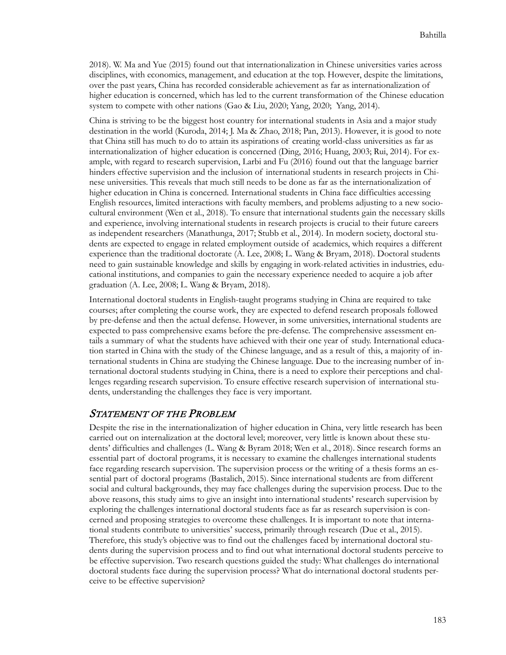2018). W. Ma and Yue (2015) found out that internationalization in Chinese universities varies across disciplines, with economics, management, and education at the top. However, despite the limitations, over the past years, China has recorded considerable achievement as far as internationalization of higher education is concerned, which has led to the current transformation of the Chinese education system to compete with other nations (Gao & Liu, 2020; Yang, 2020; Yang, 2014).

China is striving to be the biggest host country for international students in Asia and a major study destination in the world (Kuroda, 2014; J. Ma & Zhao, 2018; Pan, 2013). However, it is good to note that China still has much to do to attain its aspirations of creating world-class universities as far as internationalization of higher education is concerned (Ding, 2016; Huang, 2003; Rui, 2014). For example, with regard to research supervision, Larbi and Fu (2016) found out that the language barrier hinders effective supervision and the inclusion of international students in research projects in Chinese universities. This reveals that much still needs to be done as far as the internationalization of higher education in China is concerned. International students in China face difficulties accessing English resources, limited interactions with faculty members, and problems adjusting to a new sociocultural environment (Wen et al., 2018). To ensure that international students gain the necessary skills and experience, involving international students in research projects is crucial to their future careers as independent researchers (Manathunga, 2017; Stubb et al., 2014). In modern society, doctoral students are expected to engage in related employment outside of academics, which requires a different experience than the traditional doctorate (A. Lee, 2008; L. Wang & Bryam, 2018). Doctoral students need to gain sustainable knowledge and skills by engaging in work-related activities in industries, educational institutions, and companies to gain the necessary experience needed to acquire a job after graduation (A. Lee, 2008; L. Wang & Bryam, 2018).

International doctoral students in English-taught programs studying in China are required to take courses; after completing the course work, they are expected to defend research proposals followed by pre-defense and then the actual defense. However, in some universities, international students are expected to pass comprehensive exams before the pre-defense. The comprehensive assessment entails a summary of what the students have achieved with their one year of study. International education started in China with the study of the Chinese language, and as a result of this, a majority of international students in China are studying the Chinese language. Due to the increasing number of international doctoral students studying in China, there is a need to explore their perceptions and challenges regarding research supervision. To ensure effective research supervision of international students, understanding the challenges they face is very important.

### STATEMENT OF THE PROBLEM

Despite the rise in the internationalization of higher education in China, very little research has been carried out on internalization at the doctoral level; moreover, very little is known about these students' difficulties and challenges (L. Wang & Byram 2018; Wen et al., 2018). Since research forms an essential part of doctoral programs, it is necessary to examine the challenges international students face regarding research supervision. The supervision process or the writing of a thesis forms an essential part of doctoral programs (Bastalich, 2015). Since international students are from different social and cultural backgrounds, they may face challenges during the supervision process. Due to the above reasons, this study aims to give an insight into international students' research supervision by exploring the challenges international doctoral students face as far as research supervision is concerned and proposing strategies to overcome these challenges. It is important to note that international students contribute to universities' success, primarily through research (Due et al., 2015). Therefore, this study's objective was to find out the challenges faced by international doctoral students during the supervision process and to find out what international doctoral students perceive to be effective supervision. Two research questions guided the study: What challenges do international doctoral students face during the supervision process? What do international doctoral students perceive to be effective supervision?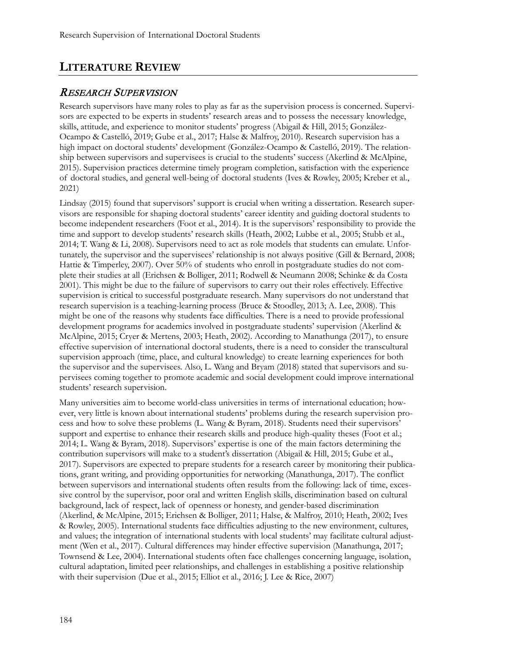## **LITERATURE REVIEW**

### RESEARCH SUPERVISION

Research supervisors have many roles to play as far as the supervision process is concerned. Supervisors are expected to be experts in students' research areas and to possess the necessary knowledge, skills, attitude, and experience to monitor students' progress (Abigail & Hill, 2015; González-Ocampo & Castelló, 2019; Gube et al., 2017; Halse & Malfroy, 2010). Research supervision has a high impact on doctoral students' development (González-Ocampo & Castelló, 2019). The relationship between supervisors and supervisees is crucial to the students' success (Akerlind & McAlpine, 2015). Supervision practices determine timely program completion, satisfaction with the experience of doctoral studies, and general well-being of doctoral students (Ives & Rowley, 2005; Kreber et al., 2021)

Lindsay (2015) found that supervisors' support is crucial when writing a dissertation. Research supervisors are responsible for shaping doctoral students' career identity and guiding doctoral students to become independent researchers (Foot et al., 2014). It is the supervisors' responsibility to provide the time and support to develop students' research skills (Heath, 2002; Lubbe et al., 2005; Stubb et al., 2014; T. Wang & Li, 2008). Supervisors need to act as role models that students can emulate. Unfortunately, the supervisor and the supervisees' relationship is not always positive (Gill & Bernard, 2008; Hattie & Timperley, 2007). Over 50% of students who enroll in postgraduate studies do not complete their studies at all (Erichsen & Bolliger, 2011; Rodwell & Neumann 2008; Schinke & da Costa 2001). This might be due to the failure of supervisors to carry out their roles effectively. Effective supervision is critical to successful postgraduate research. Many supervisors do not understand that research supervision is a teaching-learning process (Bruce & Stoodley, 2013; A. Lee, 2008). This might be one of the reasons why students face difficulties. There is a need to provide professional development programs for academics involved in postgraduate students' supervision (Akerlind & McAlpine, 2015; Cryer & Mertens, 2003; Heath, 2002). According to Manathunga (2017), to ensure effective supervision of international doctoral students, there is a need to consider the transcultural supervision approach (time, place, and cultural knowledge) to create learning experiences for both the supervisor and the supervisees. Also, L. Wang and Bryam (2018) stated that supervisors and supervisees coming together to promote academic and social development could improve international students' research supervision.

Many universities aim to become world-class universities in terms of international education; however, very little is known about international students' problems during the research supervision process and how to solve these problems (L. Wang & Byram, 2018). Students need their supervisors' support and expertise to enhance their research skills and produce high-quality theses (Foot et al.; 2014; L. Wang & Byram, 2018). Supervisors' expertise is one of the main factors determining the contribution supervisors will make to a student's dissertation (Abigail & Hill, 2015; Gube et al., 2017). Supervisors are expected to prepare students for a research career by monitoring their publications, grant writing, and providing opportunities for networking (Manathunga, 2017). The conflict between supervisors and international students often results from the following: lack of time, excessive control by the supervisor, poor oral and written English skills, discrimination based on cultural background, lack of respect, lack of openness or honesty, and gender-based discrimination (Akerlind, & McAlpine, 2015; Erichsen & Bolliger, 2011; Halse, & Malfroy, 2010; Heath, 2002; Ives & Rowley, 2005). International students face difficulties adjusting to the new environment, cultures, and values; the integration of international students with local students' may facilitate cultural adjustment (Wen et al., 2017). Cultural differences may hinder effective supervision (Manathunga, 2017; Townsend & Lee, 2004). International students often face challenges concerning language, isolation, cultural adaptation, limited peer relationships, and challenges in establishing a positive relationship with their supervision (Due et al., 2015; Elliot et al., 2016; J. Lee & Rice, 2007)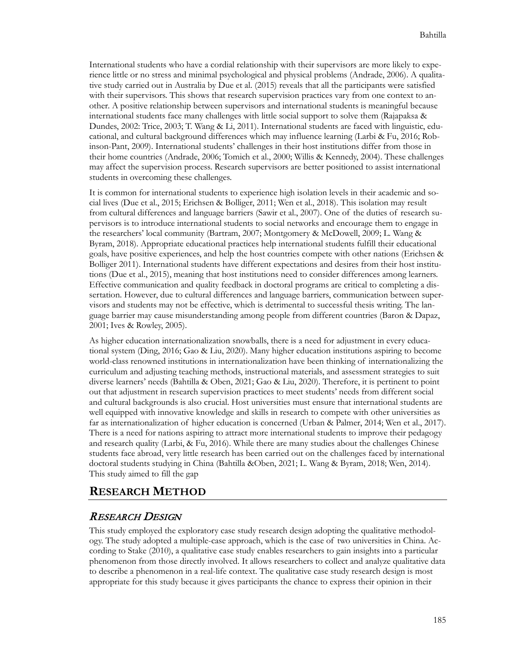International students who have a cordial relationship with their supervisors are more likely to experience little or no stress and minimal psychological and physical problems (Andrade, 2006). A qualitative study carried out in Australia by Due et al. (2015) reveals that all the participants were satisfied with their supervisors. This shows that research supervision practices vary from one context to another. A positive relationship between supervisors and international students is meaningful because international students face many challenges with little social support to solve them (Rajapaksa & Dundes, 2002: Trice, 2003; T. Wang & Li, 2011). International students are faced with linguistic, educational, and cultural background differences which may influence learning (Larbi & Fu, 2016; Robinson-Pant, 2009). International students' challenges in their host institutions differ from those in their home countries (Andrade, 2006; Tomich et al., 2000; Willis & Kennedy, 2004). These challenges may affect the supervision process. Research supervisors are better positioned to assist international students in overcoming these challenges.

It is common for international students to experience high isolation levels in their academic and social lives (Due et al., 2015; Erichsen & Bolliger, 2011; Wen et al., 2018). This isolation may result from cultural differences and language barriers (Sawir et al., 2007). One of the duties of research supervisors is to introduce international students to social networks and encourage them to engage in the researchers' local community (Bartram, 2007; Montgomery & McDowell, 2009; L. Wang & Byram, 2018). Appropriate educational practices help international students fulfill their educational goals, have positive experiences, and help the host countries compete with other nations (Erichsen & Bolliger 2011). International students have different expectations and desires from their host institutions (Due et al., 2015), meaning that host institutions need to consider differences among learners. Effective communication and quality feedback in doctoral programs are critical to completing a dissertation. However, due to cultural differences and language barriers, communication between supervisors and students may not be effective, which is detrimental to successful thesis writing. The language barrier may cause misunderstanding among people from different countries (Baron & Dapaz, 2001; Ives & Rowley, 2005).

As higher education internationalization snowballs, there is a need for adjustment in every educational system (Ding, 2016; Gao & Liu, 2020). Many higher education institutions aspiring to become world-class renowned institutions in internationalization have been thinking of internationalizing the curriculum and adjusting teaching methods, instructional materials, and assessment strategies to suit diverse learners' needs (Bahtilla & Oben, 2021; Gao & Liu, 2020). Therefore, it is pertinent to point out that adjustment in research supervision practices to meet students' needs from different social and cultural backgrounds is also crucial. Host universities must ensure that international students are well equipped with innovative knowledge and skills in research to compete with other universities as far as internationalization of higher education is concerned (Urban & Palmer, 2014; Wen et al., 2017). There is a need for nations aspiring to attract more international students to improve their pedagogy and research quality (Larbi, & Fu, 2016). While there are many studies about the challenges Chinese students face abroad, very little research has been carried out on the challenges faced by international doctoral students studying in China (Bahtilla &Oben, 2021; L. Wang & Byram, 2018; Wen, 2014). This study aimed to fill the gap

### **RESEARCH METHOD**

### RESEARCH DESIGN

This study employed the exploratory case study research design adopting the qualitative methodology. The study adopted a multiple-case approach, which is the case of two universities in China. According to Stake (2010), a qualitative case study enables researchers to gain insights into a particular phenomenon from those directly involved. It allows researchers to collect and analyze qualitative data to describe a phenomenon in a real-life context. The qualitative case study research design is most appropriate for this study because it gives participants the chance to express their opinion in their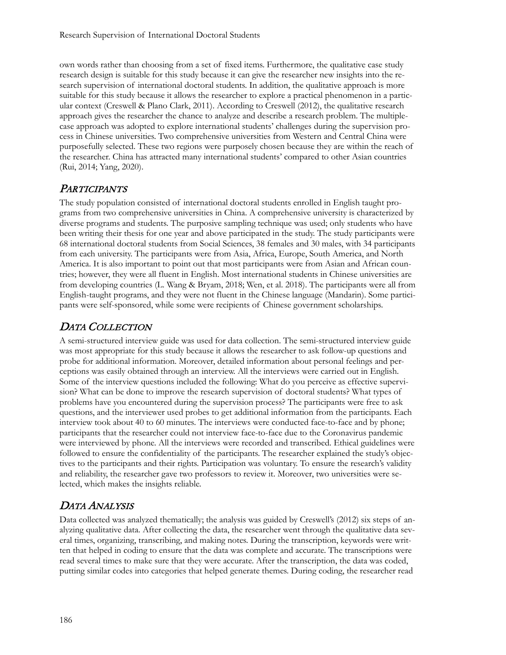own words rather than choosing from a set of fixed items. Furthermore, the qualitative case study research design is suitable for this study because it can give the researcher new insights into the research supervision of international doctoral students. In addition, the qualitative approach is more suitable for this study because it allows the researcher to explore a practical phenomenon in a particular context (Creswell & Plano Clark, 2011). According to Creswell (2012), the qualitative research approach gives the researcher the chance to analyze and describe a research problem. The multiplecase approach was adopted to explore international students' challenges during the supervision process in Chinese universities. Two comprehensive universities from Western and Central China were purposefully selected. These two regions were purposely chosen because they are within the reach of the researcher. China has attracted many international students' compared to other Asian countries (Rui, 2014; Yang, 2020).

### **PARTICIPANTS**

The study population consisted of international doctoral students enrolled in English taught programs from two comprehensive universities in China. A comprehensive university is characterized by diverse programs and students. The purposive sampling technique was used; only students who have been writing their thesis for one year and above participated in the study. The study participants were 68 international doctoral students from Social Sciences, 38 females and 30 males, with 34 participants from each university. The participants were from Asia, Africa, Europe, South America, and North America. It is also important to point out that most participants were from Asian and African countries; however, they were all fluent in English. Most international students in Chinese universities are from developing countries (L. Wang & Bryam, 2018; Wen, et al. 2018). The participants were all from English-taught programs, and they were not fluent in the Chinese language (Mandarin). Some participants were self-sponsored, while some were recipients of Chinese government scholarships.

## DATA COLLECTION

A semi-structured interview guide was used for data collection. The semi-structured interview guide was most appropriate for this study because it allows the researcher to ask follow-up questions and probe for additional information. Moreover, detailed information about personal feelings and perceptions was easily obtained through an interview. All the interviews were carried out in English. Some of the interview questions included the following: What do you perceive as effective supervision? What can be done to improve the research supervision of doctoral students? What types of problems have you encountered during the supervision process? The participants were free to ask questions, and the interviewer used probes to get additional information from the participants. Each interview took about 40 to 60 minutes. The interviews were conducted face-to-face and by phone; participants that the researcher could not interview face-to-face due to the Coronavirus pandemic were interviewed by phone. All the interviews were recorded and transcribed. Ethical guidelines were followed to ensure the confidentiality of the participants. The researcher explained the study's objectives to the participants and their rights. Participation was voluntary. To ensure the research's validity and reliability, the researcher gave two professors to review it. Moreover, two universities were selected, which makes the insights reliable.

### DATA ANALYSIS

Data collected was analyzed thematically; the analysis was guided by Creswell's (2012) six steps of analyzing qualitative data. After collecting the data, the researcher went through the qualitative data several times, organizing, transcribing, and making notes. During the transcription, keywords were written that helped in coding to ensure that the data was complete and accurate. The transcriptions were read several times to make sure that they were accurate. After the transcription, the data was coded, putting similar codes into categories that helped generate themes. During coding, the researcher read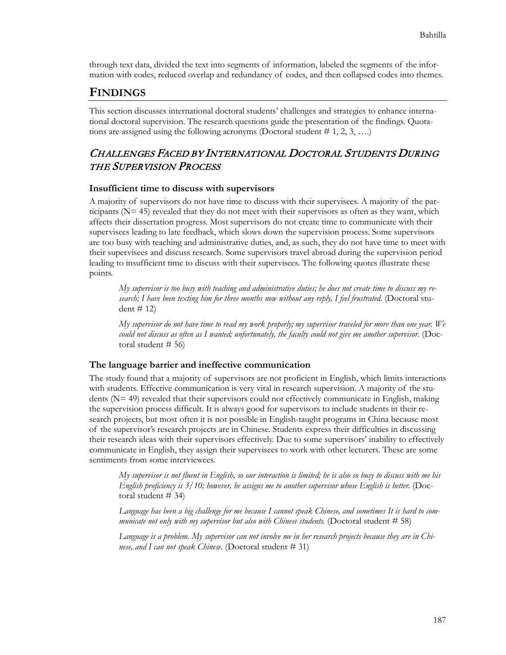through text data, divided the text into segments of information, labeled the segments of the information with codes, reduced overlap and redundancy of codes, and then collapsed codes into themes.

## **FINDINGS**

This section discusses international doctoral students' challenges and strategies to enhance international doctoral supervision. The research questions guide the presentation of the findings. Quotations are assigned using the following acronyms (Doctoral student  $# 1, 2, 3, ...$ )

## CHALLENGES FACED BY INTERNATIONAL DOCTORAL STUDENTS DURING THE SUPERVISION PROCESS

#### **Insufficient time to discuss with supervisors**

A majority of supervisors do not have time to discuss with their supervisees. A majority of the participants ( $N=45$ ) revealed that they do not meet with their supervisors as often as they want, which affects their dissertation progress. Most supervisors do not create time to communicate with their supervisees leading to late feedback, which slows down the supervision process. Some supervisors are too busy with teaching and administrative duties, and, as such, they do not have time to meet with their supervisees and discuss research. Some supervisors travel abroad during the supervision period leading to insufficient time to discuss with their supervisees. The following quotes illustrate these points.

*My supervisor is too busy with teaching and administrative duties; he does not create time to discuss my research; I have been texting him for three months now without any reply, I feel frustrated*. (Doctoral student #  $12$ )

*My supervisor do not have time to read my work properly; my supervisor traveled for more than one year. We could not discuss as often as I wanted; unfortunately, the faculty could not give me another supervisor*. (Doctoral student  $# 56$ 

### **The language barrier and ineffective communication**

The study found that a majority of supervisors are not proficient in English, which limits interactions with students. Effective communication is very vital in research supervision. A majority of the students (N= 49) revealed that their supervisors could not effectively communicate in English, making the supervision process difficult. It is always good for supervisors to include students in their research projects, but most often it is not possible in English-taught programs in China because most of the supervisor's research projects are in Chinese. Students express their difficulties in discussing their research ideas with their supervisors effectively. Due to some supervisors' inability to effectively communicate in English, they assign their supervisees to work with other lecturers. These are some sentiments from some interviewees.

*My supervisor is not fluent in English, so our interaction is limited; he is also so busy to discuss with me his English proficiency is 3/10; however, he assigns me to another supervisor whose English is better.* (Doctoral student # 34)

*Language has been a big challenge for me because I cannot speak Chinese, and sometimes It is hard to communicate not only with my supervisor but also with Chinese students.* (Doctoral student # 58)

*Language is a problem. My supervisor can not involve me in her research projects because they are in Chinese, and I can not speak Chinese.* (Doctoral student # 31)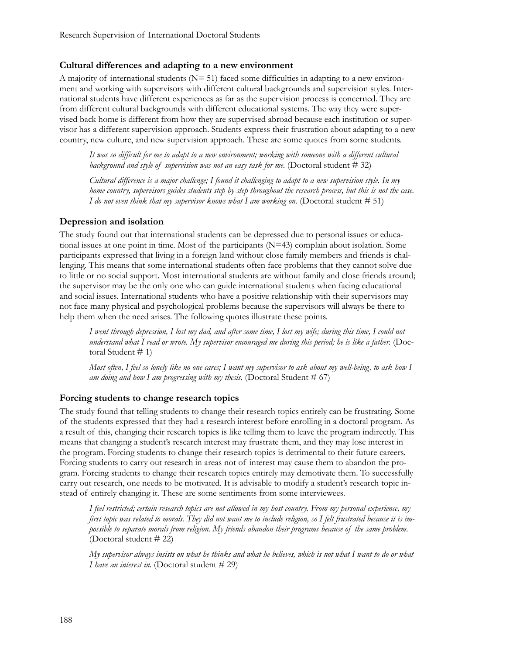#### **Cultural differences and adapting to a new environment**

A majority of international students  $(N= 51)$  faced some difficulties in adapting to a new environment and working with supervisors with different cultural backgrounds and supervision styles. International students have different experiences as far as the supervision process is concerned. They are from different cultural backgrounds with different educational systems. The way they were supervised back home is different from how they are supervised abroad because each institution or supervisor has a different supervision approach. Students express their frustration about adapting to a new country, new culture, and new supervision approach. These are some quotes from some students.

*It was so difficult for me to adapt to a new environment; working with someone with a different cultural background and style of supervision was not an easy task for me.* (Doctoral student # 32)

*Cultural difference is a major challenge; I found it challenging to adapt to a new supervision style. In my home country, supervisors guides students step by step throughout the research process, but this is not the case. I do not even think that my supervisor knows what I am working on.* (Doctoral student # 51)

#### **Depression and isolation**

The study found out that international students can be depressed due to personal issues or educational issues at one point in time. Most of the participants (N=43) complain about isolation. Some participants expressed that living in a foreign land without close family members and friends is challenging. This means that some international students often face problems that they cannot solve due to little or no social support. Most international students are without family and close friends around; the supervisor may be the only one who can guide international students when facing educational and social issues. International students who have a positive relationship with their supervisors may not face many physical and psychological problems because the supervisors will always be there to help them when the need arises. The following quotes illustrate these points.

*I went through depression, I lost my dad, and after some time, I lost my wife; during this time, I could not understand what I read or wrote. My supervisor encouraged me during this period; he is like a father.* (Doctoral Student # 1)

*Most often, I feel so lonely like no one cares; I want my supervisor to ask about my well-being, to ask how I am doing and how I am progressing with my thesis.* (Doctoral Student # 67)

#### **Forcing students to change research topics**

The study found that telling students to change their research topics entirely can be frustrating. Some of the students expressed that they had a research interest before enrolling in a doctoral program. As a result of this, changing their research topics is like telling them to leave the program indirectly. This means that changing a student's research interest may frustrate them, and they may lose interest in the program. Forcing students to change their research topics is detrimental to their future careers. Forcing students to carry out research in areas not of interest may cause them to abandon the program. Forcing students to change their research topics entirely may demotivate them. To successfully carry out research, one needs to be motivated. It is advisable to modify a student's research topic instead of entirely changing it. These are some sentiments from some interviewees.

*I feel restricted; certain research topics are not allowed in my host country. From my personal experience, my first topic was related to morals. They did not want me to include religion, so I felt frustrated because it is impossible to separate morals from religion. My friends abandon their programs because of the same problem.* (Doctoral student # 22)

*My supervisor always insists on what he thinks and what he believes, which is not what I want to do or what I have an interest in.* (Doctoral student # 29)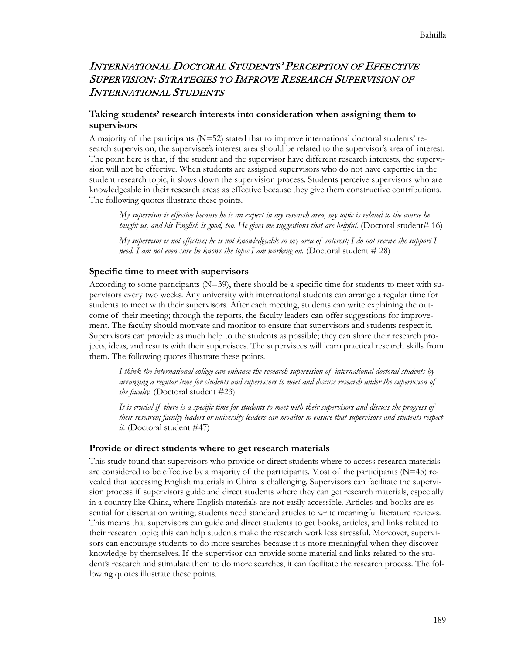### INTERNATIONAL DOCTORAL STUDENTS' PERCEPTION OF EFFECTIVE SUPERVISION: STRATEGIES TO IMPROVE RESEARCH SUPERVISION OF INTERNATIONAL STUDENTS

### **Taking students' research interests into consideration when assigning them to supervisors**

A majority of the participants (N=52) stated that to improve international doctoral students' research supervision, the supervisee's interest area should be related to the supervisor's area of interest. The point here is that, if the student and the supervisor have different research interests, the supervision will not be effective. When students are assigned supervisors who do not have expertise in the student research topic, it slows down the supervision process. Students perceive supervisors who are knowledgeable in their research areas as effective because they give them constructive contributions. The following quotes illustrate these points.

*My supervisor is effective because he is an expert in my research area, my topic is related to the course he taught us, and his English is good, too. He gives me suggestions that are helpful.* (Doctoral student# 16)

*My supervisor is not effective; he is not knowledgeable in my area of interest; I do not receive the support I need. I am not even sure he knows the topic I am working on.* (Doctoral student # 28)

#### **Specific time to meet with supervisors**

According to some participants (N=39), there should be a specific time for students to meet with supervisors every two weeks. Any university with international students can arrange a regular time for students to meet with their supervisors. After each meeting, students can write explaining the outcome of their meeting; through the reports, the faculty leaders can offer suggestions for improvement. The faculty should motivate and monitor to ensure that supervisors and students respect it. Supervisors can provide as much help to the students as possible; they can share their research projects, ideas, and results with their supervisees. The supervisees will learn practical research skills from them. The following quotes illustrate these points.

*I think the international college can enhance the research supervision of international doctoral students by arranging a regular time for students and supervisors to meet and discuss research under the supervision of the faculty.* (Doctoral student #23)

*It is crucial if there is a specific time for students to meet with their supervisors and discuss the progress of their research; faculty leaders or university leaders can monitor to ensure that supervisors and students respect it.* (Doctoral student #47)

#### **Provide or direct students where to get research materials**

This study found that supervisors who provide or direct students where to access research materials are considered to be effective by a majority of the participants. Most of the participants  $(N=45)$  revealed that accessing English materials in China is challenging. Supervisors can facilitate the supervision process if supervisors guide and direct students where they can get research materials, especially in a country like China, where English materials are not easily accessible. Articles and books are essential for dissertation writing; students need standard articles to write meaningful literature reviews. This means that supervisors can guide and direct students to get books, articles, and links related to their research topic; this can help students make the research work less stressful. Moreover, supervisors can encourage students to do more searches because it is more meaningful when they discover knowledge by themselves. If the supervisor can provide some material and links related to the student's research and stimulate them to do more searches, it can facilitate the research process. The following quotes illustrate these points.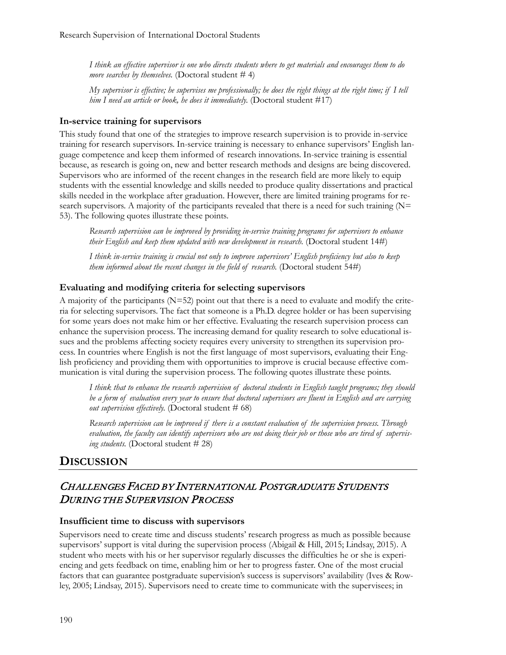*I think an effective supervisor is one who directs students where to get materials and encourages them to do more searches by themselves.* (Doctoral student # 4)

*My supervisor is effective; he supervises me professionally; he does the right things at the right time; if I tell him I need an article or book, he does it immediately.* (Doctoral student #17)

#### **In-service training for supervisors**

This study found that one of the strategies to improve research supervision is to provide in-service training for research supervisors. In-service training is necessary to enhance supervisors' English language competence and keep them informed of research innovations. In-service training is essential because, as research is going on, new and better research methods and designs are being discovered. Supervisors who are informed of the recent changes in the research field are more likely to equip students with the essential knowledge and skills needed to produce quality dissertations and practical skills needed in the workplace after graduation. However, there are limited training programs for research supervisors. A majority of the participants revealed that there is a need for such training  $(N=$ 53). The following quotes illustrate these points.

*Research supervision can be improved by providing in-service training programs for supervisors to enhance their English and keep them updated with new development in research.* (Doctoral student 14#)

*I think in-service training is crucial not only to improve supervisors' English proficiency but also to keep them informed about the recent changes in the field of research.* (Doctoral student 54#)

#### **Evaluating and modifying criteria for selecting supervisors**

A majority of the participants (N=52) point out that there is a need to evaluate and modify the criteria for selecting supervisors. The fact that someone is a Ph.D. degree holder or has been supervising for some years does not make him or her effective. Evaluating the research supervision process can enhance the supervision process. The increasing demand for quality research to solve educational issues and the problems affecting society requires every university to strengthen its supervision process. In countries where English is not the first language of most supervisors, evaluating their English proficiency and providing them with opportunities to improve is crucial because effective communication is vital during the supervision process. The following quotes illustrate these points.

*I think that to enhance the research supervision of doctoral students in English taught programs; they should be a form of evaluation every year to ensure that doctoral supervisors are fluent in English and are carrying out supervision effectively.* (Doctoral student # 68)

*Research supervision can be improved if there is a constant evaluation of the supervision process. Through evaluation, the faculty can identify supervisors who are not doing their job or those who are tired of supervising students.* (Doctoral student # 28)

### **DISCUSSION**

### CHALLENGES FACED BY INTERNATIONAL POSTGRADUATE STUDENTS DURING THE SUPERVISION PROCESS

#### **Insufficient time to discuss with supervisors**

Supervisors need to create time and discuss students' research progress as much as possible because supervisors' support is vital during the supervision process (Abigail & Hill, 2015; Lindsay, 2015). A student who meets with his or her supervisor regularly discusses the difficulties he or she is experiencing and gets feedback on time, enabling him or her to progress faster. One of the most crucial factors that can guarantee postgraduate supervision's success is supervisors' availability (Ives & Rowley, 2005; Lindsay, 2015). Supervisors need to create time to communicate with the supervisees; in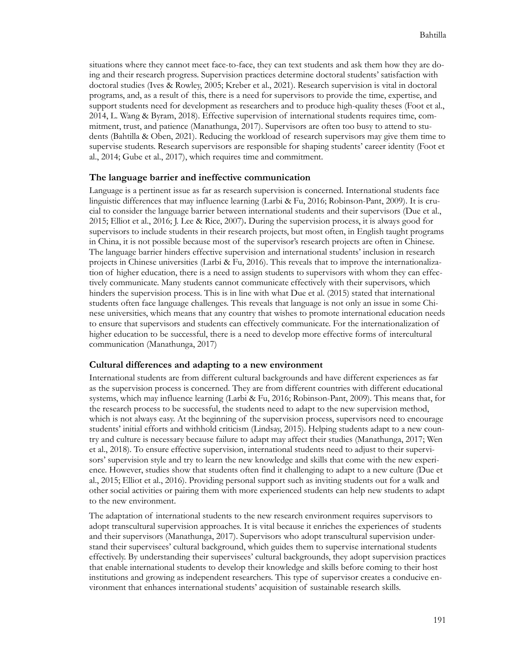situations where they cannot meet face-to-face, they can text students and ask them how they are doing and their research progress. Supervision practices determine doctoral students' satisfaction with doctoral studies (Ives & Rowley, 2005; Kreber et al., 2021). Research supervision is vital in doctoral programs, and, as a result of this, there is a need for supervisors to provide the time, expertise, and support students need for development as researchers and to produce high-quality theses (Foot et al., 2014, L. Wang & Byram, 2018). Effective supervision of international students requires time, commitment, trust, and patience (Manathunga, 2017). Supervisors are often too busy to attend to students (Bahtilla & Oben, 2021). Reducing the workload of research supervisors may give them time to supervise students. Research supervisors are responsible for shaping students' career identity (Foot et al., 2014; Gube et al., 2017), which requires time and commitment.

#### **The language barrier and ineffective communication**

Language is a pertinent issue as far as research supervision is concerned. International students face linguistic differences that may influence learning (Larbi & Fu, 2016; Robinson-Pant, 2009). It is crucial to consider the language barrier between international students and their supervisors (Due et al., 2015; Elliot et al., 2016; J. Lee & Rice, 2007)**.** During the supervision process, it is always good for supervisors to include students in their research projects, but most often, in English taught programs in China, it is not possible because most of the supervisor's research projects are often in Chinese. The language barrier hinders effective supervision and international students' inclusion in research projects in Chinese universities (Larbi & Fu, 2016). This reveals that to improve the internationalization of higher education, there is a need to assign students to supervisors with whom they can effectively communicate. Many students cannot communicate effectively with their supervisors, which hinders the supervision process. This is in line with what Due et al. (2015) stated that international students often face language challenges. This reveals that language is not only an issue in some Chinese universities, which means that any country that wishes to promote international education needs to ensure that supervisors and students can effectively communicate. For the internationalization of higher education to be successful, there is a need to develop more effective forms of intercultural communication (Manathunga, 2017)

#### **Cultural differences and adapting to a new environment**

International students are from different cultural backgrounds and have different experiences as far as the supervision process is concerned. They are from different countries with different educational systems, which may influence learning (Larbi & Fu, 2016; Robinson-Pant, 2009). This means that, for the research process to be successful, the students need to adapt to the new supervision method, which is not always easy. At the beginning of the supervision process, supervisors need to encourage students' initial efforts and withhold criticism (Lindsay, 2015). Helping students adapt to a new country and culture is necessary because failure to adapt may affect their studies (Manathunga, 2017; Wen et al., 2018). To ensure effective supervision, international students need to adjust to their supervisors' supervision style and try to learn the new knowledge and skills that come with the new experience. However, studies show that students often find it challenging to adapt to a new culture (Due et al., 2015; Elliot et al., 2016). Providing personal support such as inviting students out for a walk and other social activities or pairing them with more experienced students can help new students to adapt to the new environment.

The adaptation of international students to the new research environment requires supervisors to adopt transcultural supervision approaches. It is vital because it enriches the experiences of students and their supervisors (Manathunga, 2017). Supervisors who adopt transcultural supervision understand their supervisees' cultural background, which guides them to supervise international students effectively. By understanding their supervisees' cultural backgrounds, they adopt supervision practices that enable international students to develop their knowledge and skills before coming to their host institutions and growing as independent researchers. This type of supervisor creates a conducive environment that enhances international students' acquisition of sustainable research skills.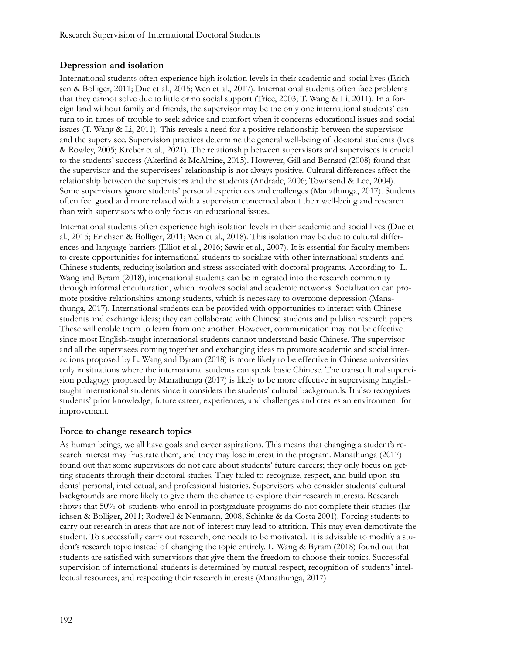### **Depression and isolation**

International students often experience high isolation levels in their academic and social lives (Erichsen & Bolliger, 2011; Due et al., 2015; Wen et al., 2017). International students often face problems that they cannot solve due to little or no social support (Trice, 2003; T. Wang & Li, 2011). In a foreign land without family and friends, the supervisor may be the only one international students' can turn to in times of trouble to seek advice and comfort when it concerns educational issues and social issues (T. Wang & Li, 2011). This reveals a need for a positive relationship between the supervisor and the supervisee. Supervision practices determine the general well-being of doctoral students (Ives & Rowley, 2005; Kreber et al., 2021). The relationship between supervisors and supervisees is crucial to the students' success (Akerlind & McAlpine, 2015). However, Gill and Bernard (2008) found that the supervisor and the supervisees' relationship is not always positive. Cultural differences affect the relationship between the supervisors and the students (Andrade, 2006; Townsend & Lee, 2004). Some supervisors ignore students' personal experiences and challenges (Manathunga, 2017). Students often feel good and more relaxed with a supervisor concerned about their well-being and research than with supervisors who only focus on educational issues.

International students often experience high isolation levels in their academic and social lives (Due et al., 2015; Erichsen & Bolliger, 2011; Wen et al., 2018). This isolation may be due to cultural differences and language barriers (Elliot et al., 2016; Sawir et al., 2007). It is essential for faculty members to create opportunities for international students to socialize with other international students and Chinese students, reducing isolation and stress associated with doctoral programs. According to L. Wang and Byram (2018), international students can be integrated into the research community through informal enculturation, which involves social and academic networks. Socialization can promote positive relationships among students, which is necessary to overcome depression (Manathunga, 2017). International students can be provided with opportunities to interact with Chinese students and exchange ideas; they can collaborate with Chinese students and publish research papers. These will enable them to learn from one another. However, communication may not be effective since most English-taught international students cannot understand basic Chinese. The supervisor and all the supervisees coming together and exchanging ideas to promote academic and social interactions proposed by L. Wang and Byram (2018) is more likely to be effective in Chinese universities only in situations where the international students can speak basic Chinese. The transcultural supervision pedagogy proposed by Manathunga (2017) is likely to be more effective in supervising Englishtaught international students since it considers the students' cultural backgrounds. It also recognizes students' prior knowledge, future career, experiences, and challenges and creates an environment for improvement.

#### **Force to change research topics**

As human beings, we all have goals and career aspirations. This means that changing a student's research interest may frustrate them, and they may lose interest in the program. Manathunga (2017) found out that some supervisors do not care about students' future careers; they only focus on getting students through their doctoral studies. They failed to recognize, respect, and build upon students' personal, intellectual, and professional histories. Supervisors who consider students' cultural backgrounds are more likely to give them the chance to explore their research interests. Research shows that 50% of students who enroll in postgraduate programs do not complete their studies (Erichsen & Bolliger, 2011; Rodwell & Neumann, 2008; Schinke & da Costa 2001). Forcing students to carry out research in areas that are not of interest may lead to attrition. This may even demotivate the student. To successfully carry out research, one needs to be motivated. It is advisable to modify a student's research topic instead of changing the topic entirely. L. Wang & Byram (2018) found out that students are satisfied with supervisors that give them the freedom to choose their topics. Successful supervision of international students is determined by mutual respect, recognition of students' intellectual resources, and respecting their research interests (Manathunga, 2017)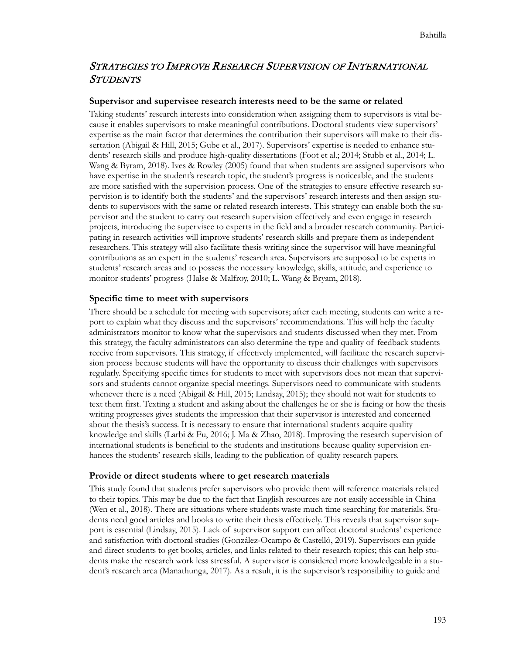## STRATEGIES TO IMPROVE RESEARCH SUPERVISION OF INTERNATIONAL **STUDENTS**

#### **Supervisor and supervisee research interests need to be the same or related**

Taking students' research interests into consideration when assigning them to supervisors is vital because it enables supervisors to make meaningful contributions. Doctoral students view supervisors' expertise as the main factor that determines the contribution their supervisors will make to their dissertation (Abigail & Hill, 2015; Gube et al., 2017). Supervisors' expertise is needed to enhance students' research skills and produce high-quality dissertations (Foot et al.; 2014; Stubb et al., 2014; L. Wang & Byram, 2018). Ives & Rowley (2005) found that when students are assigned supervisors who have expertise in the student's research topic, the student's progress is noticeable, and the students are more satisfied with the supervision process. One of the strategies to ensure effective research supervision is to identify both the students' and the supervisors' research interests and then assign students to supervisors with the same or related research interests. This strategy can enable both the supervisor and the student to carry out research supervision effectively and even engage in research projects, introducing the supervisee to experts in the field and a broader research community. Participating in research activities will improve students' research skills and prepare them as independent researchers. This strategy will also facilitate thesis writing since the supervisor will have meaningful contributions as an expert in the students' research area. Supervisors are supposed to be experts in students' research areas and to possess the necessary knowledge, skills, attitude, and experience to monitor students' progress (Halse & Malfroy, 2010; L. Wang & Bryam, 2018).

#### **Specific time to meet with supervisors**

There should be a schedule for meeting with supervisors; after each meeting, students can write a report to explain what they discuss and the supervisors' recommendations. This will help the faculty administrators monitor to know what the supervisors and students discussed when they met. From this strategy, the faculty administrators can also determine the type and quality of feedback students receive from supervisors. This strategy, if effectively implemented, will facilitate the research supervision process because students will have the opportunity to discuss their challenges with supervisors regularly. Specifying specific times for students to meet with supervisors does not mean that supervisors and students cannot organize special meetings. Supervisors need to communicate with students whenever there is a need (Abigail & Hill, 2015; Lindsay, 2015); they should not wait for students to text them first. Texting a student and asking about the challenges he or she is facing or how the thesis writing progresses gives students the impression that their supervisor is interested and concerned about the thesis's success. It is necessary to ensure that international students acquire quality knowledge and skills (Larbi & Fu, 2016; J. Ma & Zhao, 2018). Improving the research supervision of international students is beneficial to the students and institutions because quality supervision enhances the students' research skills, leading to the publication of quality research papers.

#### **Provide or direct students where to get research materials**

This study found that students prefer supervisors who provide them will reference materials related to their topics. This may be due to the fact that English resources are not easily accessible in China (Wen et al., 2018). There are situations where students waste much time searching for materials. Students need good articles and books to write their thesis effectively. This reveals that supervisor support is essential (Lindsay, 2015). Lack of supervisor support can affect doctoral students' experience and satisfaction with doctoral studies (González-Ocampo & Castelló, 2019). Supervisors can guide and direct students to get books, articles, and links related to their research topics; this can help students make the research work less stressful. A supervisor is considered more knowledgeable in a student's research area (Manathunga, 2017). As a result, it is the supervisor's responsibility to guide and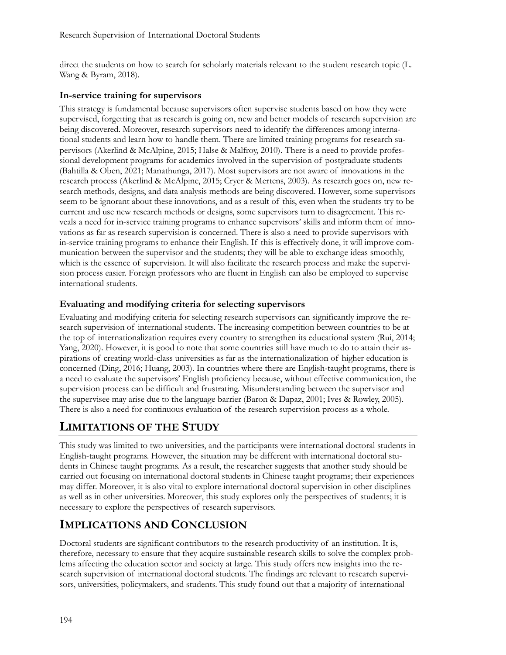direct the students on how to search for scholarly materials relevant to the student research topic (L. Wang & Byram, 2018).

### **In-service training for supervisors**

This strategy is fundamental because supervisors often supervise students based on how they were supervised, forgetting that as research is going on, new and better models of research supervision are being discovered. Moreover, research supervisors need to identify the differences among international students and learn how to handle them. There are limited training programs for research supervisors (Akerlind & McAlpine, 2015; Halse & Malfroy, 2010). There is a need to provide professional development programs for academics involved in the supervision of postgraduate students (Bahtilla & Oben, 2021; Manathunga, 2017). Most supervisors are not aware of innovations in the research process (Akerlind & McAlpine, 2015; Cryer & Mertens, 2003). As research goes on, new research methods, designs, and data analysis methods are being discovered. However, some supervisors seem to be ignorant about these innovations, and as a result of this, even when the students try to be current and use new research methods or designs, some supervisors turn to disagreement. This reveals a need for in-service training programs to enhance supervisors' skills and inform them of innovations as far as research supervision is concerned. There is also a need to provide supervisors with in-service training programs to enhance their English. If this is effectively done, it will improve communication between the supervisor and the students; they will be able to exchange ideas smoothly, which is the essence of supervision. It will also facilitate the research process and make the supervision process easier. Foreign professors who are fluent in English can also be employed to supervise international students.

### **Evaluating and modifying criteria for selecting supervisors**

Evaluating and modifying criteria for selecting research supervisors can significantly improve the research supervision of international students. The increasing competition between countries to be at the top of internationalization requires every country to strengthen its educational system (Rui, 2014; Yang, 2020). However, it is good to note that some countries still have much to do to attain their aspirations of creating world-class universities as far as the internationalization of higher education is concerned (Ding, 2016; Huang, 2003). In countries where there are English-taught programs, there is a need to evaluate the supervisors' English proficiency because, without effective communication, the supervision process can be difficult and frustrating. Misunderstanding between the supervisor and the supervisee may arise due to the language barrier (Baron & Dapaz, 2001; Ives & Rowley, 2005). There is also a need for continuous evaluation of the research supervision process as a whole.

## **LIMITATIONS OF THE STUDY**

This study was limited to two universities, and the participants were international doctoral students in English-taught programs. However, the situation may be different with international doctoral students in Chinese taught programs. As a result, the researcher suggests that another study should be carried out focusing on international doctoral students in Chinese taught programs; their experiences may differ. Moreover, it is also vital to explore international doctoral supervision in other disciplines as well as in other universities. Moreover, this study explores only the perspectives of students; it is necessary to explore the perspectives of research supervisors.

## **IMPLICATIONS AND CONCLUSION**

Doctoral students are significant contributors to the research productivity of an institution. It is, therefore, necessary to ensure that they acquire sustainable research skills to solve the complex problems affecting the education sector and society at large. This study offers new insights into the research supervision of international doctoral students. The findings are relevant to research supervisors, universities, policymakers, and students. This study found out that a majority of international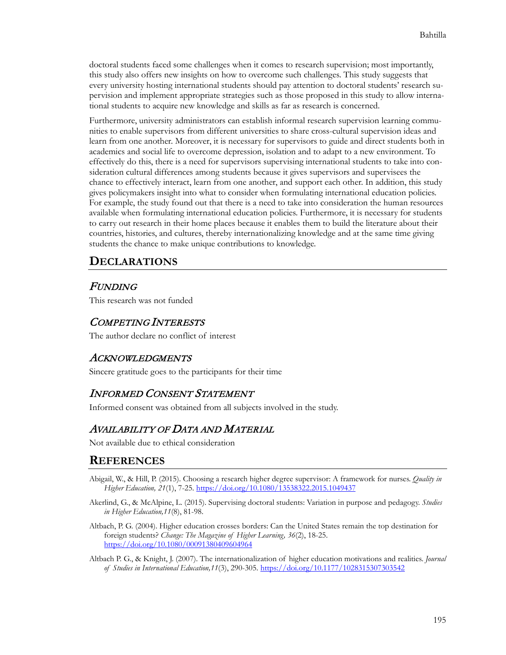doctoral students faced some challenges when it comes to research supervision; most importantly, this study also offers new insights on how to overcome such challenges. This study suggests that every university hosting international students should pay attention to doctoral students' research supervision and implement appropriate strategies such as those proposed in this study to allow international students to acquire new knowledge and skills as far as research is concerned.

Furthermore, university administrators can establish informal research supervision learning communities to enable supervisors from different universities to share cross-cultural supervision ideas and learn from one another. Moreover, it is necessary for supervisors to guide and direct students both in academics and social life to overcome depression, isolation and to adapt to a new environment. To effectively do this, there is a need for supervisors supervising international students to take into consideration cultural differences among students because it gives supervisors and supervisees the chance to effectively interact, learn from one another, and support each other. In addition, this study gives policymakers insight into what to consider when formulating international education policies. For example, the study found out that there is a need to take into consideration the human resources available when formulating international education policies. Furthermore, it is necessary for students to carry out research in their home places because it enables them to build the literature about their countries, histories, and cultures, thereby internationalizing knowledge and at the same time giving students the chance to make unique contributions to knowledge.

## **DECLARATIONS**

### FUNDING

This research was not funded

### COMPETING INTERESTS

The author declare no conflict of interest

### ACKNOWLEDGMENTS

Sincere gratitude goes to the participants for their time

### INFORMED CONSENT STATEMENT

Informed consent was obtained from all subjects involved in the study.

### AVAILABILITY OF DATA AND MATERIAL

Not available due to ethical consideration

### **REFERENCES**

- Abigail, W., & Hill, P. (2015). Choosing a research higher degree supervisor: A framework for nurses. *Quality in Higher Education, 21*(1), 7-25. <https://doi.org/10.1080/13538322.2015.1049437>
- Akerlind, G., & McAlpine, L. (2015). Supervising doctoral students: Variation in purpose and pedagogy. *Studies in Higher Education,11*(8), 81-98.
- Altbach, P. G. (2004). Higher education crosses borders: Can the United States remain the top destination for foreign students? *Change: The Magazine of Higher Learning, 36*(2), 18-25. <https://doi.org/10.1080/00091380409604964>
- Altbach P. G., & Knight, J. (2007). The internationalization of higher education motivations and realities. *Journal of Studies in International Education,11*(3), 290-305. <https://doi.org/10.1177/1028315307303542>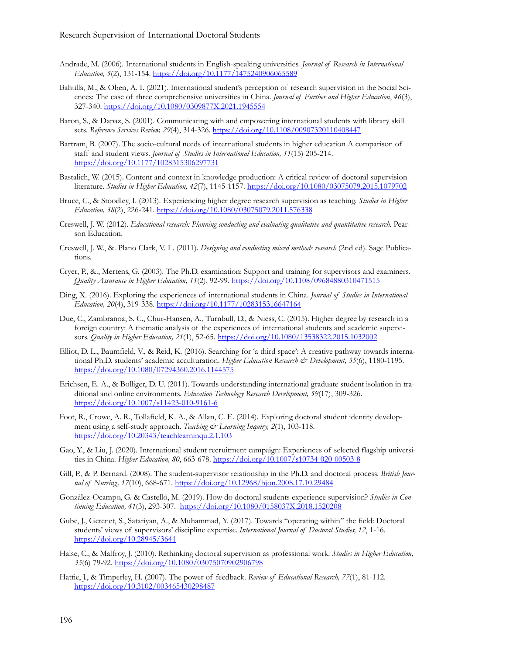- Andrade, M. (2006). International students in English-speaking universities. *Journal of Research in International Education, 5*(2), 131-154. <https://doi.org/10.1177/1475240906065589>
- Bahtilla, M., & Oben, A. I. (2021). International student's perception of research supervision in the Social Sciences: The case of three comprehensive universities in China. *Journal of Further and Higher Education*, *46*(3), 327-340. <https://doi.org/10.1080/0309877X.2021.1945554>
- Baron, S., & Dapaz, S. (2001). Communicating with and empowering international students with library skill sets. *Reference Services Review, 29*(4), 314-326. <https://doi.org/10.1108/00907320110408447>
- Bartram, B. (2007). The socio-cultural needs of international students in higher education A comparison of staff and student views. *Journal of Studies in International Education, 11*(15) 205-214. <https://doi.org/10.1177/1028315306297731>
- Bastalich, W. (2015). Content and context in knowledge production: A critical review of doctoral supervision literature. *Studies in Higher Education, 42*(7), 1145-1157. <https://doi.org/10.1080/03075079.2015.1079702>
- Bruce, C., & Stoodley, I. (2013). Experiencing higher degree research supervision as teaching. *Studies in Higher Education, 38*(2), 226-241. <https://doi.org/10.1080/03075079.2011.576338>
- Creswell, J. W. (2012). *Educational research: Planning conducting and evaluating qualitative and quantitative research.* Pearson Education.
- Creswell, J. W., &. Plano Clark, V. L. (2011). *Designing and conducting mixed methods research* (2nd ed). Sage Publications.
- Cryer, P., &., Mertens, G. (2003). The Ph.D. examination: Support and training for supervisors and examiners. *Quality Assurance in Higher Education, 11*(2), 92-99. <https://doi.org/10.1108/09684880310471515>
- Ding, X. (2016). Exploring the experiences of international students in China. *Journal of Studies in International Education, 20*(4), 319-338. <https://doi.org/10.1177/1028315316647164>
- Due, C., Zambranoa, S. C., Chur-Hansen, A., Turnbull, D., & Niess, C. (2015). Higher degree by research in a foreign country: A thematic analysis of the experiences of international students and academic supervisors. *Quality in Higher Education, 21*(1), 52-65. <https://doi.org/10.1080/13538322.2015.1032002>
- Elliot, D. L., Baumfield, V., & Reid, K. (2016). Searching for 'a third space': A creative pathway towards international Ph.D. students' academic acculturation. *Higher Education Research & Development, 35*(6), 1180-1195. <https://doi.org/10.1080/07294360.2016.1144575>
- Erichsen, E. A., & Bolliger, D. U. (2011). Towards understanding international graduate student isolation in traditional and online environments. *Education Technology Research Development, 59*(17), 309-326. <https://doi.org/10.1007/s11423-010-9161-6>
- Foot, R., Crowe, A. R., Tollafield, K. A., & Allan, C. E. (2014). Exploring doctoral student identity development using a self-study approach. *Teaching & Learning Inquiry, 2(1)*, 103-118. <https://doi.org/10.20343/teachlearninqu.2.1.103>
- Gao, Y., & Liu, J. (2020). International student recruitment campaign: Experiences of selected flagship universities in China. *Higher Education, 80*, 663-678. <https://doi.org/10.1007/s10734-020-00503-8>
- Gill, P., & P. Bernard. (2008). The student-supervisor relationship in the Ph.D. and doctoral process. *British Journal of Nursing, 17*(10), 668-671. <https://doi.org/10.12968/bjon.2008.17.10.29484>
- González-Ocampo, G. & Castelló, M. (2019). How do doctoral students experience supervision? *Studies in Continuing Education, 41*(3), 293-307. <https://doi.org/10.1080/0158037X.2018.1520208>
- Gube, J., Getenet, S., Satariyan, A., & Muhammad, Y. (2017). Towards "operating within" the field: Doctoral students' views of supervisors' discipline expertise. *International Journal of Doctoral Studies, 12*, 1-16. <https://doi.org/10.28945/3641>
- Halse, C., & Malfroy, J. (2010). Rethinking doctoral supervision as professional work. *Studies in Higher Education, 35*(6) 79-92. <https://doi.org/10.1080/03075070902906798>
- Hattie, J., & Timperley, H. (2007). The power of feedback. *Review of Educational Research, 77*(1), 81-112. <https://doi.org/10.3102/003465430298487>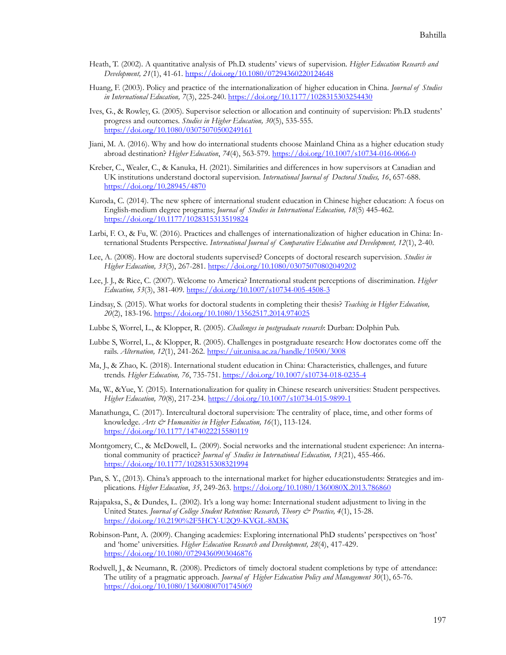- Heath, T. (2002). A quantitative analysis of Ph.D. students' views of supervision. *Higher Education Research and Development, 21*(1), 41-61. <https://doi.org/10.1080/07294360220124648>
- Huang, F. (2003). Policy and practice of the internationalization of higher education in China. *Journal of Studies in International Education, 7*(3), 225-240. <https://doi.org/10.1177/1028315303254430>
- Ives, G., & Rowley, G. (2005). Supervisor selection or allocation and continuity of supervision: Ph.D. students' progress and outcomes. *Studies in Higher Education, 30*(5), 535-555. <https://doi.org/10.1080/03075070500249161>
- Jiani, M. A. (2016). Why and how do international students choose Mainland China as a higher education study abroad destination? *Higher Education*, *74*(4), 563-579. <https://doi.org/10.1007/s10734-016-0066-0>
- Kreber, C., Wealer, C., & Kanuka, H. (2021). Similarities and differences in how supervisors at Canadian and UK institutions understand doctoral supervision. *International Journal of Doctoral Studies, 16*, 657-688. <https://doi.org/10.28945/4870>
- Kuroda, C. (2014). The new sphere of international student education in Chinese higher education: A focus on English-medium degree programs; *Journal of Studies in International Education, 18*(5) 445-462. <https://doi.org/10.1177/1028315313519824>
- Larbi, F. O., & Fu, W. (2016). Practices and challenges of internationalization of higher education in China: International Students Perspective. *International Journal of Comparative Education and Development, 12*(1), 2-40.
- Lee, A. (2008). How are doctoral students supervised? Concepts of doctoral research supervision. *Studies in Higher Education, 33*(3), 267-281. <https://doi.org/10.1080/03075070802049202>
- Lee, J. J., & Rice, C. (2007). Welcome to America? International student perceptions of discrimination. *Higher Education, 53*(3), 381-409. <https://doi.org/10.1007/s10734-005-4508-3>
- Lindsay, S. (2015). What works for doctoral students in completing their thesis? *Teaching in Higher Education, 20*(2), 183-196. <https://doi.org/10.1080/13562517.2014.974025>
- Lubbe S, Worrel, L., & Klopper, R. (2005). *Challenges in postgraduate research*: Durban: Dolphin Pub.
- Lubbe S, Worrel, L., & Klopper, R. (2005). Challenges in postgraduate research: How doctorates come off the rails. *Alternation, 12*(1), 241-262[. https://uir.unisa.ac.za/handle/10500/3008](https://uir.unisa.ac.za/handle/10500/3008)
- Ma, J., & Zhao, K. (2018). International student education in China: Characteristics, challenges, and future trends. *Higher Education, 76*, 735-751. <https://doi.org/10.1007/s10734-018-0235-4>
- Ma, W., &Yue, Y. (2015). Internationalization for quality in Chinese research universities: Student perspectives. *Higher Education, 70*(8), 217-234. <https://doi.org/10.1007/s10734-015-9899-1>
- Manathunga, C. (2017). Intercultural doctoral supervision: The centrality of place, time, and other forms of knowledge. *Arts & Humanities in Higher Education, 16*(1), 113-124. <https://doi.org/10.1177/1474022215580119>
- Montgomery, C., & McDowell, L. (2009). Social networks and the international student experience: An international community of practice? *Journal of Studies in International Education, 13*(21), 455-466. <https://doi.org/10.1177/1028315308321994>
- Pan, S. Y., (2013). China's approach to the international market for higher educationstudents: Strategies and implications. *Higher Education*, *35*, 249-263. <https://doi.org/10.1080/1360080X.2013.786860>
- Rajapaksa, S., & Dundes, L. (2002). It's a long way home: International student adjustment to living in the United States. *Journal of College Student Retention: Research, Theory & Practice, 4*(1), 15-28. <https://doi.org/10.2190%2F5HCY-U2Q9-KVGL-8M3K>
- Robinson-Pant, A. (2009). Changing academies: Exploring international PhD students' perspectives on 'host' and 'home' universities. *Higher Education Research and Development, 28*(4), 417-429. <https://doi.org/10.1080/07294360903046876>
- Rodwell, J., & Neumann, R. (2008). Predictors of timely doctoral student completions by type of attendance: The utility of a pragmatic approach. *Journal of Higher Education Policy and Management 30*(1), 65-76. <https://doi.org/10.1080/13600800701745069>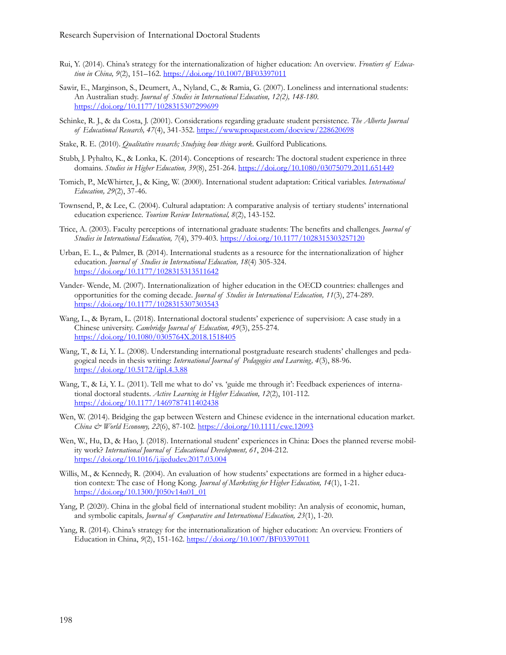- Rui, Y. (2014). China's strategy for the internationalization of higher education: An overview*. Frontiers of Education in China, 9*(2), 151–162. <https://doi.org/10.1007/BF03397011>
- Sawir, E., Marginson, S., Deumert, A., Nyland, C., & Ramia, G. (2007). Loneliness and international students: An Australian study. *Journal of Studies in International Education, 12(2), 148-180.* <https://doi.org/10.1177/1028315307299699>
- Schinke, R. J., & da Costa, J. (2001). Considerations regarding graduate student persistence. *The Alberta Journal of Educational Research, 47*(4), 341-352. <https://www.proquest.com/docview/228620698>
- Stake, R. E. (2010). *Qualitative research; Studying how things work*. Guilford Publications.
- Stubb, J. Pyhalto, K., & Lonka, K. (2014). Conceptions of research: The doctoral student experience in three domains. *Studies in Higher Education, 39*(8), 251-264. <https://doi.org/10.1080/03075079.2011.651449>
- Tomich, P., McWhirter, J., & King, W. (2000). International student adaptation: Critical variables. *International Education, 29*(2), 37-46.
- Townsend, P., & Lee, C. (2004). Cultural adaptation: A comparative analysis of tertiary students' international education experience. *Tourism Review International, 8*(2), 143-152.
- Trice, A. (2003). Faculty perceptions of international graduate students: The benefits and challenges. *Journal of Studies in International Education, 7*(4), 379-403. <https://doi.org/10.1177/1028315303257120>
- Urban, E. L., & Palmer, B. (2014). International students as a resource for the internationalization of higher education. *Journal of Studies in International Education, 18*(4) 305-324. <https://doi.org/10.1177/1028315313511642>
- Vander- Wende, M. (2007). Internationalization of higher education in the OECD countries: challenges and opportunities for the coming decade*. Journal of Studies in International Education, 11*(3), 274-289. <https://doi.org/10.1177/1028315307303543>
- Wang, L., & Byram, L. (2018). International doctoral students' experience of supervision: A case study in a Chinese university. *Cambridge Journal of Education, 49*(3), 255-274. <https://doi.org/10.1080/0305764X.2018.1518405>
- Wang, T., & Li, Y. L. (2008). Understanding international postgraduate research students' challenges and pedagogical needs in thesis writing: *International Journal of Pedagogies and Learning, 4*(3), 88-96. <https://doi.org/10.5172/ijpl.4.3.88>
- Wang, T., & Li, Y. L. (2011). Tell me what to do' vs. 'guide me through it': Feedback experiences of international doctoral students. *Active Learning in Higher Education, 12*(2), 101-112. <https://doi.org/10.1177/1469787411402438>
- Wen, W. (2014). Bridging the gap between Western and Chinese evidence in the international education market. *China & World Economy, 22*(6), 87-102. <https://doi.org/10.1111/cwe.12093>
- Wen, W., Hu, D., & Hao, J. (2018). International student' experiences in China: Does the planned reverse mobility work? *International Journal of Educational Development, 61*, 204-212. <https://doi.org/10.1016/j.ijedudev.2017.03.004>
- Willis, M., & Kennedy, R. (2004). An evaluation of how students' expectations are formed in a higher education context: The case of Hong Kong*. Journal of Marketing for Higher Education, 14*(1), 1-21. [https://doi.org/10.1300/J050v14n01\\_01](https://doi.org/10.1300/J050v14n01_01)
- Yang, P. (2020). China in the global field of international student mobility: An analysis of economic, human, and symbolic capitals*, Journal of Comparative and International Education, 23*(1), 1-20.
- Yang, R. (2014). China's strategy for the internationalization of higher education: An overview. Frontiers of Education in China, 9(2), 151-162. <https://doi.org/10.1007/BF03397011>